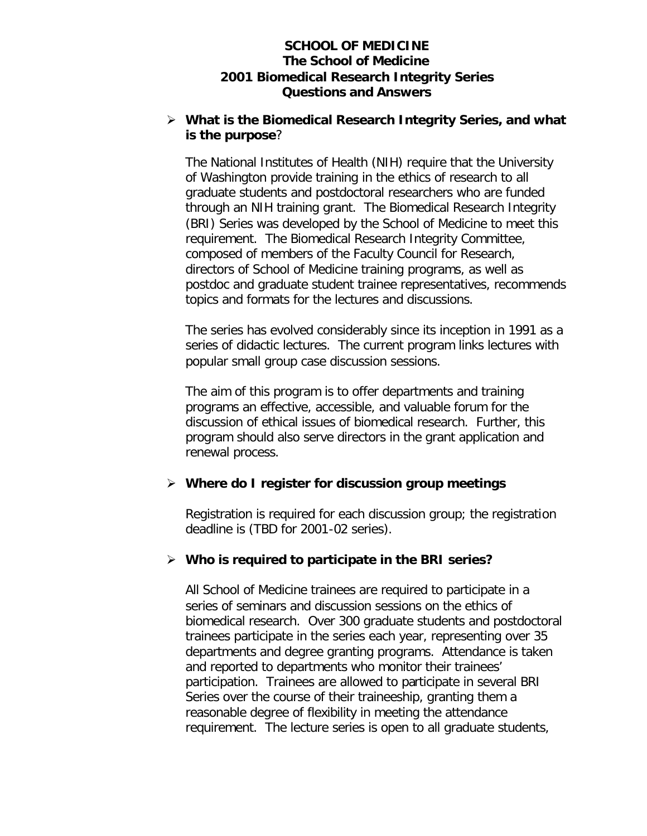#### **SCHOOL OF MEDICINE The School of Medicine 2001 Biomedical Research Integrity Series Questions and Answers**

#### ÿ **What is the Biomedical Research Integrity Series, and what is the purpose**?

The National Institutes of Health (NIH) require that the University of Washington provide training in the ethics of research to all graduate students and postdoctoral researchers who are funded through an NIH training grant. The Biomedical Research Integrity (BRI) Series was developed by the School of Medicine to meet this requirement. The Biomedical Research Integrity Committee, composed of members of the Faculty Council for Research, directors of School of Medicine training programs, as well as postdoc and graduate student trainee representatives, recommends topics and formats for the lectures and discussions.

The series has evolved considerably since its inception in 1991 as a series of didactic lectures. The current program links lectures with popular small group case discussion sessions.

The aim of this program is to offer departments and training programs an effective, accessible, and valuable forum for the discussion of ethical issues of biomedical research. Further, this program should also serve directors in the grant application and renewal process.

### ÿ **Where do I register for discussion group meetings**

Registration is required for each discussion group; the registration deadline is (TBD for 2001-02 series).

### ÿ **Who is required to participate in the BRI series?**

All School of Medicine trainees are required to participate in a series of seminars and discussion sessions on the ethics of biomedical research. Over 300 graduate students and postdoctoral trainees participate in the series each year, representing over 35 departments and degree granting programs. Attendance is taken and reported to departments who monitor their trainees' participation. Trainees are allowed to participate in several BRI Series over the course of their traineeship, granting them a reasonable degree of flexibility in meeting the attendance requirement. The lecture series is open to all graduate students,